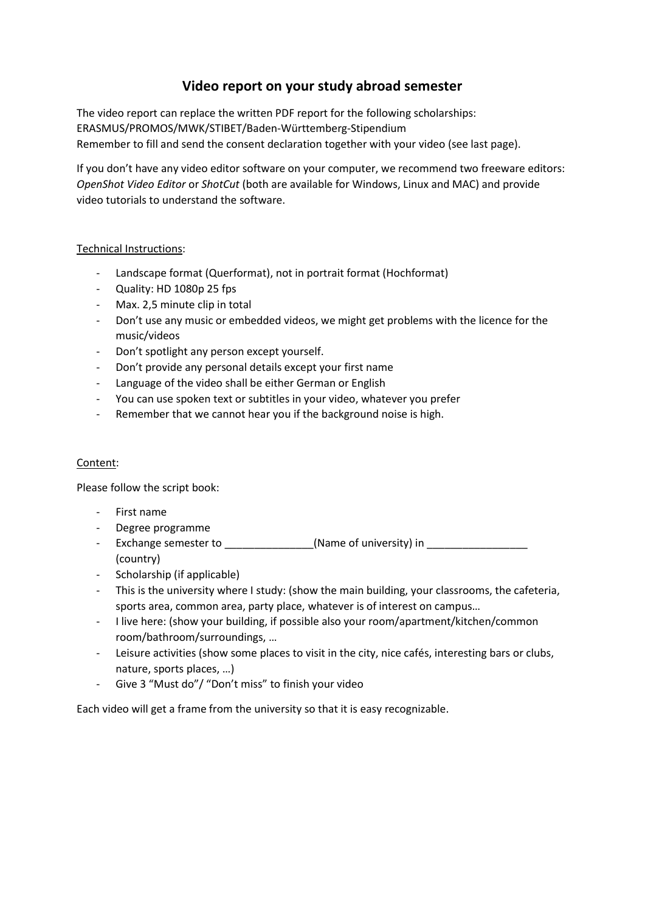## **Video report on your study abroad semester**

The video report can replace the written PDF report for the following scholarships: ERASMUS/PROMOS/MWK/STIBET/Baden-Württemberg-Stipendium Remember to fill and send the consent declaration together with your video (see last page).

If you don't have any video editor software on your computer, we recommend two freeware editors: *OpenShot Video Editor* or *ShotCut* (both are available for Windows, Linux and MAC) and provide video tutorials to understand the software.

## Technical Instructions:

- Landscape format (Querformat), not in portrait format (Hochformat)
- Quality: HD 1080p 25 fps
- Max. 2,5 minute clip in total
- Don't use any music or embedded videos, we might get problems with the licence for the music/videos
- Don't spotlight any person except yourself.
- Don't provide any personal details except your first name
- Language of the video shall be either German or English
- You can use spoken text or subtitles in your video, whatever you prefer
- Remember that we cannot hear you if the background noise is high.

## Content:

Please follow the script book:

- First name
- Degree programme
- Exchange semester to \_\_\_\_\_\_\_\_\_\_\_\_\_\_\_(Name of university) in \_\_\_\_\_\_\_\_\_\_\_\_\_\_\_\_\_ (country)
- Scholarship (if applicable)
- This is the university where I study: (show the main building, your classrooms, the cafeteria, sports area, common area, party place, whatever is of interest on campus…
- I live here: (show your building, if possible also your room/apartment/kitchen/common room/bathroom/surroundings, …
- Leisure activities (show some places to visit in the city, nice cafés, interesting bars or clubs, nature, sports places, …)
- Give 3 "Must do"/ "Don't miss" to finish your video

Each video will get a frame from the university so that it is easy recognizable.